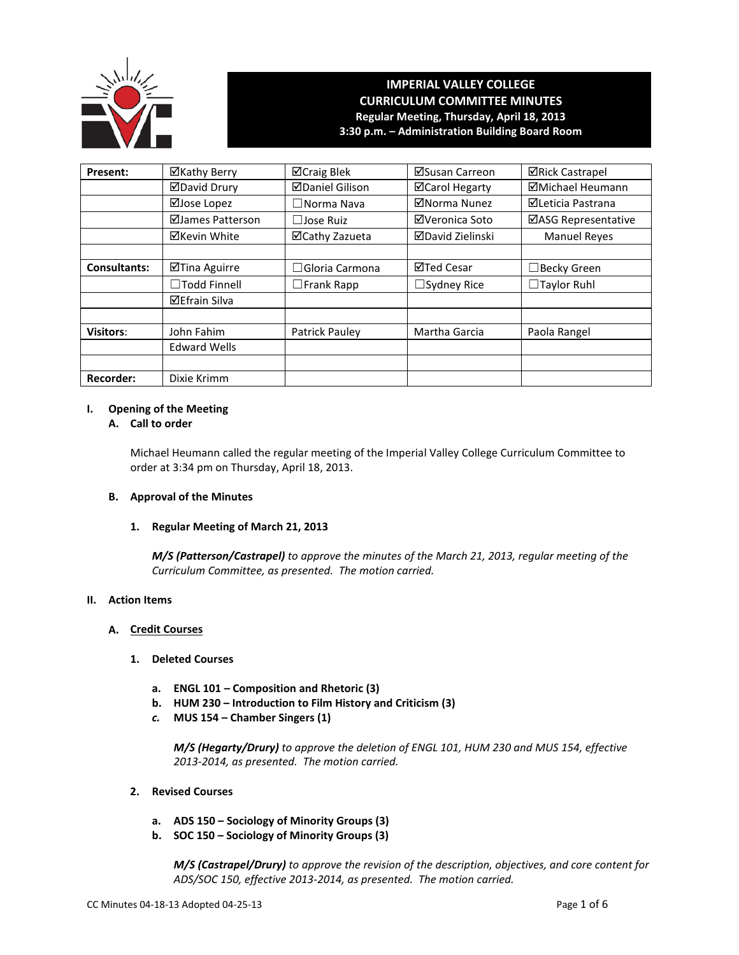

# **IMPERIAL VALLEY COLLEGE CURRICULUM COMMITTEE MINUTES Regular Meeting, Thursday, April 18, 2013 3:30 p.m. – Administration Building Board Room**

| <b>Present:</b>  | ⊠Kathy Berry         | ⊠Craig Blek            | ⊠Susan Carreon          | <b>⊠Rick Castrapel</b>  |
|------------------|----------------------|------------------------|-------------------------|-------------------------|
|                  | <b>ØDavid Drury</b>  | <b>ØDaniel Gilison</b> | <b>⊠Carol Hegarty</b>   | <b>ØMichael Heumann</b> |
|                  | ⊠Jose Lopez          | $\Box$ Norma Nava      | ⊠Norma Nunez            | ⊠Leticia Pastrana       |
|                  | ⊠James Patterson     | $\Box$ Jose Ruiz       | ⊠Veronica Soto          | ⊠ASG Representative     |
|                  | <b>⊠Kevin White</b>  | ⊠Cathy Zazueta         | <b>⊠David Zielinski</b> | <b>Manuel Reyes</b>     |
|                  |                      |                        |                         |                         |
| Consultants:     | ⊠Tina Aguirre        | $\Box$ Gloria Carmona  | ⊠Ted Cesar              | □ Becky Green           |
|                  | $\Box$ Todd Finnell  | $\Box$ Frank Rapp      | $\Box$ Sydney Rice      | $\Box$ Taylor Ruhl      |
|                  | <b>⊠Efrain Silva</b> |                        |                         |                         |
|                  |                      |                        |                         |                         |
| <b>Visitors:</b> | John Fahim           | Patrick Pauley         | Martha Garcia           | Paola Rangel            |
|                  | <b>Edward Wells</b>  |                        |                         |                         |
|                  |                      |                        |                         |                         |
| <b>Recorder:</b> | Dixie Krimm          |                        |                         |                         |

# **I. Opening of the Meeting**

# **A. Call to order**

Michael Heumann called the regular meeting of the Imperial Valley College Curriculum Committee to order at 3:34 pm on Thursday, April 18, 2013.

# **B. Approval of the Minutes**

#### **1. Regular Meeting of March 21, 2013**

*M/S (Patterson/Castrapel) to approve the minutes of the March 21, 2013, regular meeting of the Curriculum Committee, as presented. The motion carried.*

#### **II. Action Items**

# **A. Credit Courses**

#### **1. Deleted Courses**

- **a. ENGL 101 – Composition and Rhetoric (3)**
- **b. HUM 230 – Introduction to Film History and Criticism (3)**
- *c.* **MUS 154 – Chamber Singers (1)**

*M/S (Hegarty/Drury) to approve the deletion of ENGL 101, HUM 230 and MUS 154, effective 2013-2014, as presented. The motion carried.*

- **2. Revised Courses**
	- **a. ADS 150 – Sociology of Minority Groups (3)**
	- **b. SOC 150 – Sociology of Minority Groups (3)**

*M/S (Castrapel/Drury) to approve the revision of the description, objectives, and core content for ADS/SOC 150, effective 2013-2014, as presented. The motion carried.*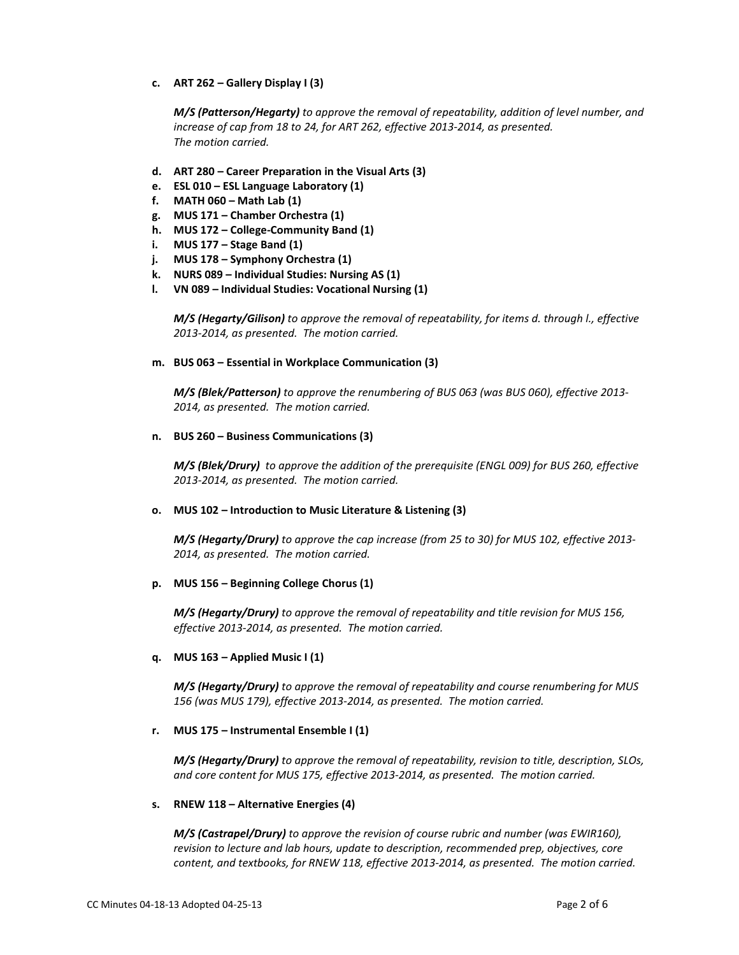**c. ART 262 – Gallery Display I (3)**

*M/S (Patterson/Hegarty) to approve the removal of repeatability, addition of level number, and increase of cap from 18 to 24, for ART 262, effective 2013-2014, as presented. The motion carried.*

- **d. ART 280 – Career Preparation in the Visual Arts (3)**
- **e. ESL 010 – ESL Language Laboratory (1)**
- **f. MATH 060 – Math Lab (1)**
- **g. MUS 171 – Chamber Orchestra (1)**
- **h. MUS 172 – College-Community Band (1)**
- **i. MUS 177 – Stage Band (1)**
- **j. MUS 178 – Symphony Orchestra (1)**
- **k. NURS 089 – Individual Studies: Nursing AS (1)**
- **l. VN 089 – Individual Studies: Vocational Nursing (1)**

*M/S (Hegarty/Gilison) to approve the removal of repeatability, for items d. through l., effective 2013-2014, as presented. The motion carried.*

#### **m. BUS 063 – Essential in Workplace Communication (3)**

*M/S (Blek/Patterson) to approve the renumbering of BUS 063 (was BUS 060), effective 2013- 2014, as presented. The motion carried.*

**n. BUS 260 – Business Communications (3)**

*M/S (Blek/Drury) to approve the addition of the prerequisite (ENGL 009) for BUS 260, effective 2013-2014, as presented. The motion carried.*

#### **o. MUS 102 – Introduction to Music Literature & Listening (3)**

*M/S (Hegarty/Drury) to approve the cap increase (from 25 to 30) for MUS 102, effective 2013- 2014, as presented. The motion carried.*

#### **p. MUS 156 – Beginning College Chorus (1)**

*M/S (Hegarty/Drury) to approve the removal of repeatability and title revision for MUS 156, effective 2013-2014, as presented. The motion carried.*

#### **q. MUS 163 – Applied Music I (1)**

*M/S (Hegarty/Drury) to approve the removal of repeatability and course renumbering for MUS 156 (was MUS 179), effective 2013-2014, as presented. The motion carried.*

#### **r. MUS 175 – Instrumental Ensemble I (1)**

*M/S (Hegarty/Drury) to approve the removal of repeatability, revision to title, description, SLOs, and core content for MUS 175, effective 2013-2014, as presented. The motion carried.*

#### **s. RNEW 118 – Alternative Energies (4)**

*M/S (Castrapel/Drury) to approve the revision of course rubric and number (was EWIR160), revision to lecture and lab hours, update to description, recommended prep, objectives, core content, and textbooks, for RNEW 118, effective 2013-2014, as presented. The motion carried.*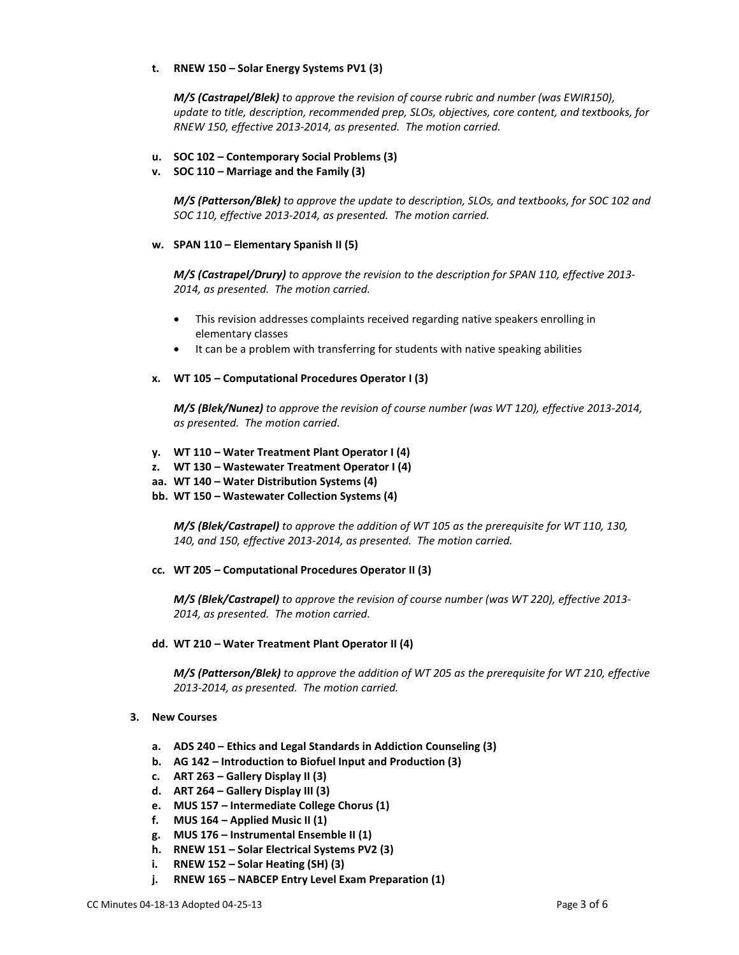# **t. RNEW 150 – Solar Energy Systems PV1 (3)**

*M/S (Castrapel/Blek) to approve the revision of course rubric and number (was EWIR150), update to title, description, recommended prep, SLOs, objectives, core content, and textbooks, for RNEW 150, effective 2013-2014, as presented. The motion carried.*

# **u. SOC 102 – Contemporary Social Problems (3)**

# **v. SOC 110 – Marriage and the Family (3)**

*M/S (Patterson/Blek) to approve the update to description, SLOs, and textbooks, for SOC 102 and SOC 110, effective 2013-2014, as presented. The motion carried.*

#### **w. SPAN 110 – Elementary Spanish II (5)**

*M/S (Castrapel/Drury) to approve the revision to the description for SPAN 110, effective 2013- 2014, as presented. The motion carried.*

- This revision addresses complaints received regarding native speakers enrolling in elementary classes
- It can be a problem with transferring for students with native speaking abilities

# **x. WT 105 – Computational Procedures Operator I (3)**

*M/S (Blek/Nunez) to approve the revision of course number (was WT 120), effective 2013-2014, as presented. The motion carried.*

- **y. WT 110 – Water Treatment Plant Operator I (4)**
- **z. WT 130 – Wastewater Treatment Operator I (4)**
- **aa. WT 140 – Water Distribution Systems (4)**
- **bb. WT 150 – Wastewater Collection Systems (4)**

*M/S (Blek/Castrapel) to approve the addition of WT 105 as the prerequisite for WT 110, 130, 140, and 150, effective 2013-2014, as presented. The motion carried.*

#### **cc. WT 205 – Computational Procedures Operator II (3)**

*M/S (Blek/Castrapel) to approve the revision of course number (was WT 220), effective 2013- 2014, as presented. The motion carried.*

#### **dd. WT 210 – Water Treatment Plant Operator II (4)**

*M/S (Patterson/Blek) to approve the addition of WT 205 as the prerequisite for WT 210, effective 2013-2014, as presented. The motion carried.*

#### **3. New Courses**

- **a. ADS 240 – Ethics and Legal Standards in Addiction Counseling (3)**
- **b. AG 142 – Introduction to Biofuel Input and Production (3)**
- **c. ART 263 – Gallery Display II (3)**
- **d. ART 264 – Gallery Display III (3)**
- **e. MUS 157 – Intermediate College Chorus (1)**
- **f. MUS 164 – Applied Music II (1)**
- **g. MUS 176 – Instrumental Ensemble II (1)**
- **h. RNEW 151 – Solar Electrical Systems PV2 (3)**
- **i. RNEW 152 – Solar Heating (SH) (3)**
- **j. RNEW 165 – NABCEP Entry Level Exam Preparation (1)**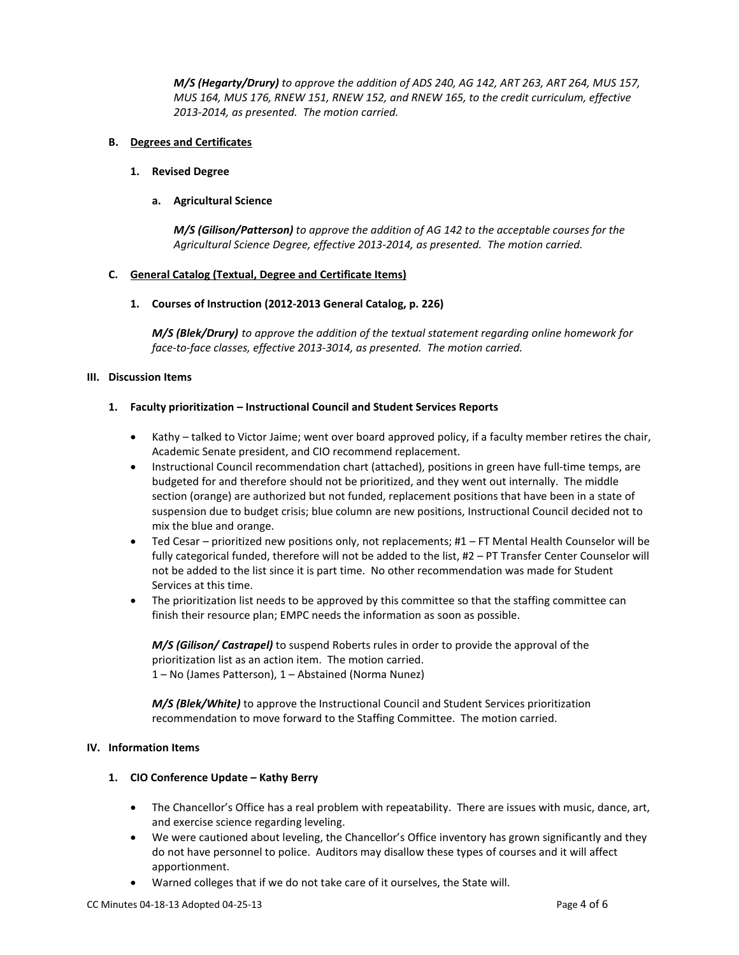*M/S (Hegarty/Drury) to approve the addition of ADS 240, AG 142, ART 263, ART 264, MUS 157, MUS 164, MUS 176, RNEW 151, RNEW 152, and RNEW 165, to the credit curriculum, effective 2013-2014, as presented. The motion carried.*

# **B. Degrees and Certificates**

#### **1. Revised Degree**

# **a. Agricultural Science**

*M/S (Gilison/Patterson) to approve the addition of AG 142 to the acceptable courses for the Agricultural Science Degree, effective 2013-2014, as presented. The motion carried.*

# **C. General Catalog (Textual, Degree and Certificate Items)**

# **1. Courses of Instruction (2012-2013 General Catalog, p. 226)**

*M/S (Blek/Drury) to approve the addition of the textual statement regarding online homework for face-to-face classes, effective 2013-3014, as presented. The motion carried.*

# **III. Discussion Items**

# **1. Faculty prioritization – Instructional Council and Student Services Reports**

- Kathy talked to Victor Jaime; went over board approved policy, if a faculty member retires the chair, Academic Senate president, and CIO recommend replacement.
- Instructional Council recommendation chart (attached), positions in green have full-time temps, are budgeted for and therefore should not be prioritized, and they went out internally. The middle section (orange) are authorized but not funded, replacement positions that have been in a state of suspension due to budget crisis; blue column are new positions, Instructional Council decided not to mix the blue and orange.
- Ted Cesar prioritized new positions only, not replacements; #1 FT Mental Health Counselor will be fully categorical funded, therefore will not be added to the list, #2 – PT Transfer Center Counselor will not be added to the list since it is part time. No other recommendation was made for Student Services at this time.
- The prioritization list needs to be approved by this committee so that the staffing committee can finish their resource plan; EMPC needs the information as soon as possible.

*M/S (Gilison/ Castrapel)* to suspend Roberts rules in order to provide the approval of the prioritization list as an action item. The motion carried. 1 – No (James Patterson), 1 – Abstained (Norma Nunez)

*M/S (Blek/White)* to approve the Instructional Council and Student Services prioritization recommendation to move forward to the Staffing Committee. The motion carried.

#### **IV. Information Items**

# **1. CIO Conference Update – Kathy Berry**

- The Chancellor's Office has a real problem with repeatability. There are issues with music, dance, art, and exercise science regarding leveling.
- We were cautioned about leveling, the Chancellor's Office inventory has grown significantly and they do not have personnel to police. Auditors may disallow these types of courses and it will affect apportionment.
- Warned colleges that if we do not take care of it ourselves, the State will.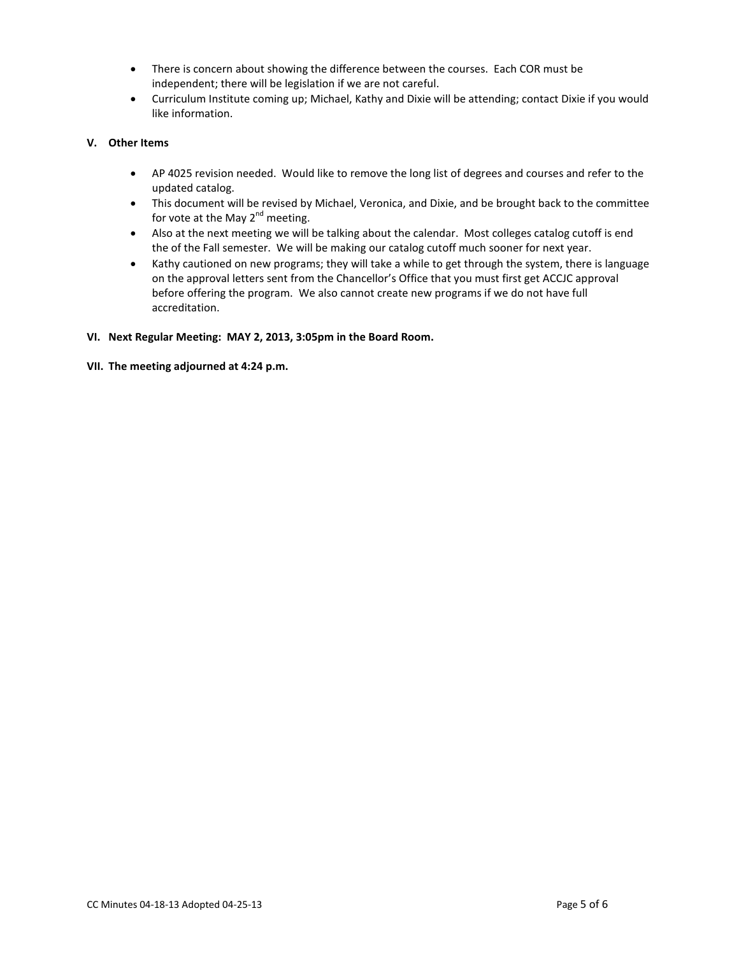- There is concern about showing the difference between the courses. Each COR must be independent; there will be legislation if we are not careful.
- Curriculum Institute coming up; Michael, Kathy and Dixie will be attending; contact Dixie if you would like information.

# **V. Other Items**

- AP 4025 revision needed. Would like to remove the long list of degrees and courses and refer to the updated catalog.
- This document will be revised by Michael, Veronica, and Dixie, and be brought back to the committee for vote at the May  $2^{nd}$  meeting.
- Also at the next meeting we will be talking about the calendar. Most colleges catalog cutoff is end the of the Fall semester. We will be making our catalog cutoff much sooner for next year.
- Kathy cautioned on new programs; they will take a while to get through the system, there is language on the approval letters sent from the Chancellor's Office that you must first get ACCJC approval before offering the program. We also cannot create new programs if we do not have full accreditation.

# **VI. Next Regular Meeting: MAY 2, 2013, 3:05pm in the Board Room.**

**VII. The meeting adjourned at 4:24 p.m.**